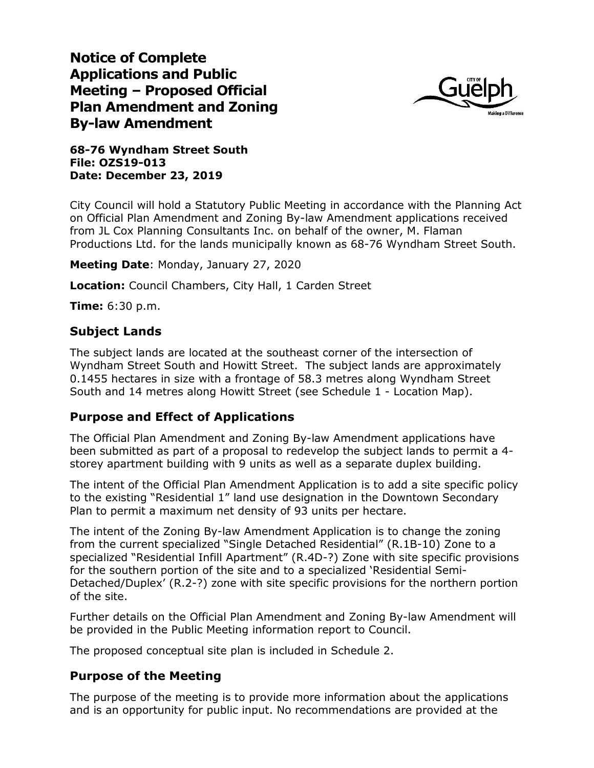**Notice of Complete Applications and Public Meeting – Proposed Official Plan Amendment and Zoning By-law Amendment**



**68-76 Wyndham Street South File: OZS19-013 Date: December 23, 2019**

City Council will hold a Statutory Public Meeting in accordance with the Planning Act on Official Plan Amendment and Zoning By-law Amendment applications received from JL Cox Planning Consultants Inc. on behalf of the owner, M. Flaman Productions Ltd. for the lands municipally known as 68-76 Wyndham Street South.

**Meeting Date**: Monday, January 27, 2020

**Location:** Council Chambers, City Hall, 1 Carden Street

**Time:** 6:30 p.m.

### **Subject Lands**

The subject lands are located at the southeast corner of the intersection of Wyndham Street South and Howitt Street. The subject lands are approximately 0.1455 hectares in size with a frontage of 58.3 metres along Wyndham Street South and 14 metres along Howitt Street (see Schedule 1 - Location Map).

#### **Purpose and Effect of Applications**

The Official Plan Amendment and Zoning By-law Amendment applications have been submitted as part of a proposal to redevelop the subject lands to permit a 4 storey apartment building with 9 units as well as a separate duplex building.

The intent of the Official Plan Amendment Application is to add a site specific policy to the existing "Residential 1" land use designation in the Downtown Secondary Plan to permit a maximum net density of 93 units per hectare.

The intent of the Zoning By-law Amendment Application is to change the zoning from the current specialized "Single Detached Residential" (R.1B-10) Zone to a specialized "Residential Infill Apartment" (R.4D-?) Zone with site specific provisions for the southern portion of the site and to a specialized 'Residential Semi-Detached/Duplex' (R.2-?) zone with site specific provisions for the northern portion of the site.

Further details on the Official Plan Amendment and Zoning By-law Amendment will be provided in the Public Meeting information report to Council.

The proposed conceptual site plan is included in Schedule 2.

#### **Purpose of the Meeting**

The purpose of the meeting is to provide more information about the applications and is an opportunity for public input. No recommendations are provided at the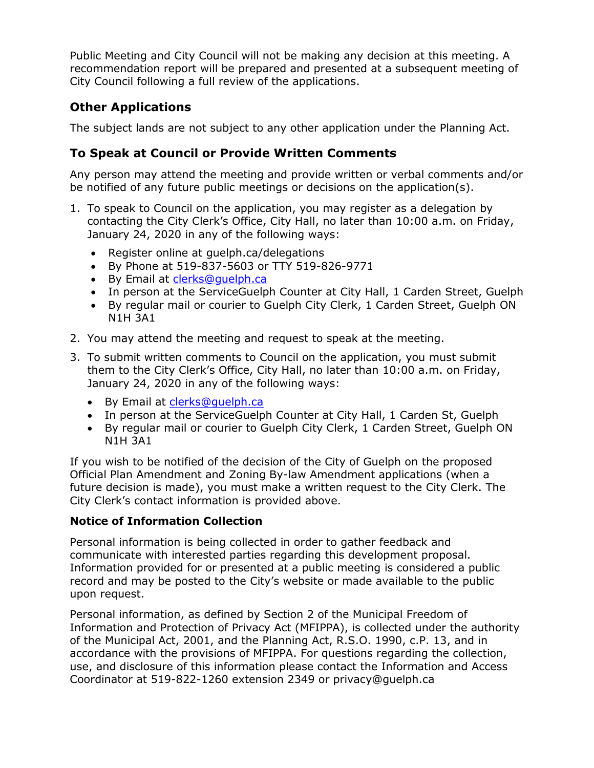Public Meeting and City Council will not be making any decision at this meeting. A recommendation report will be prepared and presented at a subsequent meeting of City Council following a full review of the applications.

## **Other Applications**

The subject lands are not subject to any other application under the Planning Act.

## **To Speak at Council or Provide Written Comments**

Any person may attend the meeting and provide written or verbal comments and/or be notified of any future public meetings or decisions on the application(s).

- 1. To speak to Council on the application, you may register as a delegation by contacting the City Clerk's Office, City Hall, no later than 10:00 a.m. on Friday, January 24, 2020 in any of the following ways:
	- Register online at quelph.ca/delegations
	- By Phone at 519-837-5603 or TTY 519-826-9771
	- By Email at [clerks@guelph.ca](file://///city.guelph.ca/ServiceAreas01$/IDE/Planning/STAFF%20FOLDERS/Katie/Development%20Applications/360%20Whitelaw%20Road%20ZC%20OP/clerks@guelph.ca)
	- In person at the ServiceGuelph Counter at City Hall, 1 Carden Street, Guelph
	- By regular mail or courier to Guelph City Clerk, 1 Carden Street, Guelph ON N1H 3A1
- 2. You may attend the meeting and request to speak at the meeting.
- 3. To submit written comments to Council on the application, you must submit them to the City Clerk's Office, City Hall, no later than 10:00 a.m. on Friday, January 24, 2020 in any of the following ways:
	- By Email at [clerks@guelph.ca](file://///city.guelph.ca/ServiceAreas01$/IDE/Planning/STAFF%20FOLDERS/Katie/Development%20Applications/360%20Whitelaw%20Road%20ZC%20OP/clerks@guelph.ca)
	- In person at the ServiceGuelph Counter at City Hall, 1 Carden St, Guelph
	- By regular mail or courier to Guelph City Clerk, 1 Carden Street, Guelph ON N1H 3A1

If you wish to be notified of the decision of the City of Guelph on the proposed Official Plan Amendment and Zoning By-law Amendment applications (when a future decision is made), you must make a written request to the City Clerk. The City Clerk's contact information is provided above.

### **Notice of Information Collection**

Personal information is being collected in order to gather feedback and communicate with interested parties regarding this development proposal. Information provided for or presented at a public meeting is considered a public record and may be posted to the City's website or made available to the public upon request.

Personal information, as defined by Section 2 of the Municipal Freedom of Information and Protection of Privacy Act (MFIPPA), is collected under the authority of the Municipal Act, 2001, and the Planning Act, R.S.O. 1990, c.P. 13, and in accordance with the provisions of MFIPPA. For questions regarding the collection, use, and disclosure of this information please contact the Information and Access Coordinator at 519-822-1260 extension 2349 or privacy@guelph.ca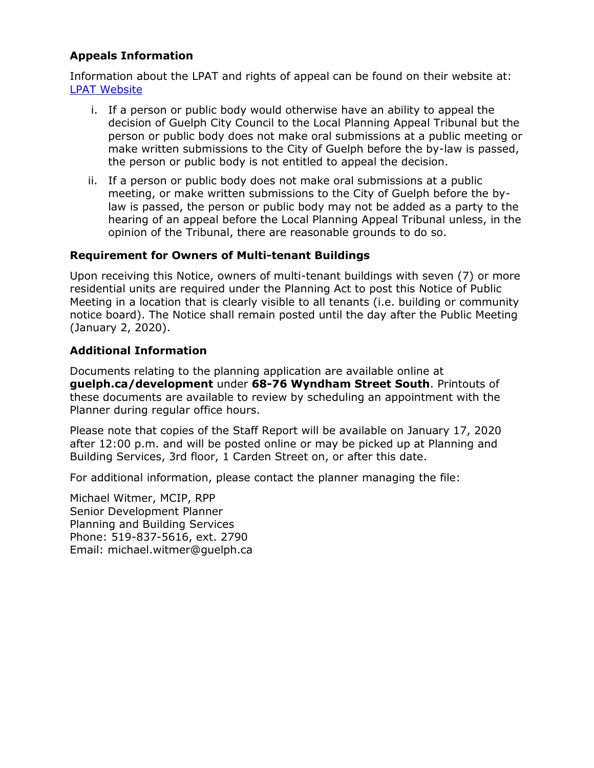### **Appeals Information**

Information about the LPAT and rights of appeal can be found on their website at: [LPAT Website](http://elto.gov.on.ca/tribunals/lpat/about-lpat/)

- i. If a person or public body would otherwise have an ability to appeal the decision of Guelph City Council to the Local Planning Appeal Tribunal but the person or public body does not make oral submissions at a public meeting or make written submissions to the City of Guelph before the by-law is passed, the person or public body is not entitled to appeal the decision.
- ii. If a person or public body does not make oral submissions at a public meeting, or make written submissions to the City of Guelph before the bylaw is passed, the person or public body may not be added as a party to the hearing of an appeal before the Local Planning Appeal Tribunal unless, in the opinion of the Tribunal, there are reasonable grounds to do so.

#### **Requirement for Owners of Multi-tenant Buildings**

Upon receiving this Notice, owners of multi-tenant buildings with seven (7) or more residential units are required under the Planning Act to post this Notice of Public Meeting in a location that is clearly visible to all tenants (i.e. building or community notice board). The Notice shall remain posted until the day after the Public Meeting (January 2, 2020).

### **Additional Information**

Documents relating to the planning application are available online at **guelph.ca/development** under **68-76 Wyndham Street South**. Printouts of these documents are available to review by scheduling an appointment with the Planner during regular office hours.

Please note that copies of the Staff Report will be available on January 17, 2020 after 12:00 p.m. and will be posted online or may be picked up at Planning and Building Services, 3rd floor, 1 Carden Street on, or after this date.

For additional information, please contact the planner managing the file:

Michael Witmer, MCIP, RPP Senior Development Planner Planning and Building Services Phone: 519-837-5616, ext. 2790 Email: michael.witmer@guelph.ca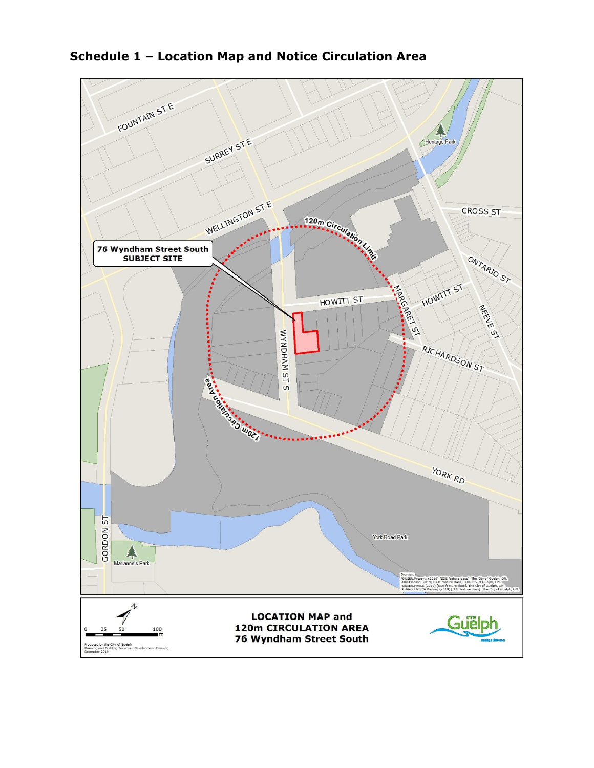

## **Schedule 1 – Location Map and Notice Circulation Area**